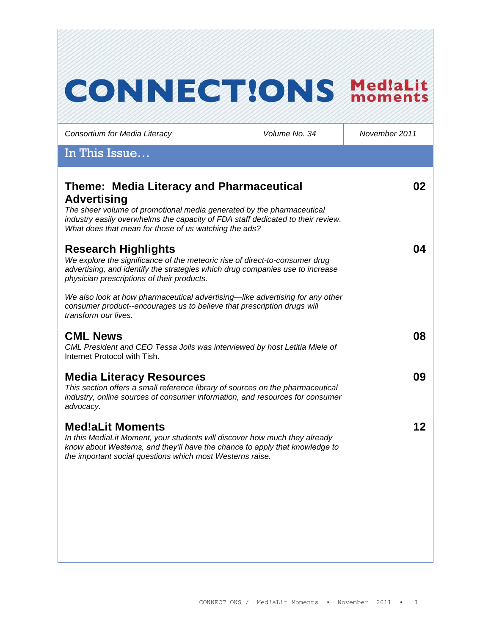# **CONNECT!ONS Med!aLit**

*Consortium for Media Literacy Volume No. 34 November 2011*

# In This Issue…

| <b>Theme: Media Literacy and Pharmaceutical</b><br><b>Advertising</b><br>The sheer volume of promotional media generated by the pharmaceutical<br>industry easily overwhelms the capacity of FDA staff dedicated to their review.<br>What does that mean for those of us watching the ads? | 02 |
|--------------------------------------------------------------------------------------------------------------------------------------------------------------------------------------------------------------------------------------------------------------------------------------------|----|
| <b>Research Highlights</b><br>We explore the significance of the meteoric rise of direct-to-consumer drug<br>advertising, and identify the strategies which drug companies use to increase<br>physician prescriptions of their products.                                                   | 04 |
| We also look at how pharmaceutical advertising—like advertising for any other<br>consumer product--encourages us to believe that prescription drugs will<br>transform our lives.                                                                                                           |    |
| <b>CML News</b><br>CML President and CEO Tessa Jolls was interviewed by host Letitia Miele of<br>Internet Protocol with Tish.                                                                                                                                                              | 08 |
| <b>Media Literacy Resources</b><br>This section offers a small reference library of sources on the pharmaceutical<br>industry, online sources of consumer information, and resources for consumer<br>advocacy.                                                                             | 09 |
| <b>Med!aLit Moments</b><br>In this MediaLit Moment, your students will discover how much they already<br>know about Westerns, and they'll have the chance to apply that knowledge to<br>the important social questions which most Westerns raise.                                          | 12 |
|                                                                                                                                                                                                                                                                                            |    |
|                                                                                                                                                                                                                                                                                            |    |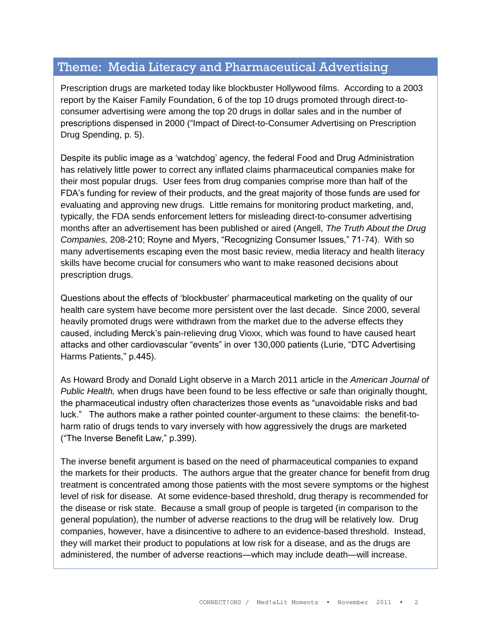# Theme: Media Literacy and Pharmaceutical Advertising

Prescription drugs are marketed today like blockbuster Hollywood films. According to a 2003 report by the Kaiser Family Foundation, 6 of the top 10 drugs promoted through direct-toconsumer advertising were among the top 20 drugs in dollar sales and in the number of prescriptions dispensed in 2000 ("Impact of Direct-to-Consumer Advertising on Prescription Drug Spending, p. 5).

Despite its public image as a "watchdog" agency, the federal Food and Drug Administration has relatively little power to correct any inflated claims pharmaceutical companies make for their most popular drugs. User fees from drug companies comprise more than half of the FDA"s funding for review of their products, and the great majority of those funds are used for evaluating and approving new drugs. Little remains for monitoring product marketing, and, typically, the FDA sends enforcement letters for misleading direct-to-consumer advertising months after an advertisement has been published or aired (Angell, *The Truth About the Drug Companies,* 208-210; Royne and Myers, "Recognizing Consumer Issues," 71-74). With so many advertisements escaping even the most basic review, media literacy and health literacy skills have become crucial for consumers who want to make reasoned decisions about prescription drugs.

Questions about the effects of "blockbuster" pharmaceutical marketing on the quality of our health care system have become more persistent over the last decade. Since 2000, several heavily promoted drugs were withdrawn from the market due to the adverse effects they caused, including Merck"s pain-relieving drug Vioxx, which was found to have caused heart attacks and other cardiovascular "events" in over 130,000 patients (Lurie, "DTC Advertising Harms Patients," p.445).

As Howard Brody and Donald Light observe in a March 2011 article in the *American Journal of Public Health,* when drugs have been found to be less effective or safe than originally thought, the pharmaceutical industry often characterizes those events as "unavoidable risks and bad luck." The authors make a rather pointed counter-argument to these claims: the benefit-toharm ratio of drugs tends to vary inversely with how aggressively the drugs are marketed ("The Inverse Benefit Law," p.399).

The inverse benefit argument is based on the need of pharmaceutical companies to expand the markets for their products. The authors argue that the greater chance for benefit from drug treatment is concentrated among those patients with the most severe symptoms or the highest level of risk for disease. At some evidence-based threshold, drug therapy is recommended for the disease or risk state. Because a small group of people is targeted (in comparison to the general population), the number of adverse reactions to the drug will be relatively low. Drug companies, however, have a disincentive to adhere to an evidence-based threshold. Instead, they will market their product to populations at low risk for a disease, and as the drugs are administered, the number of adverse reactions—which may include death—will increase.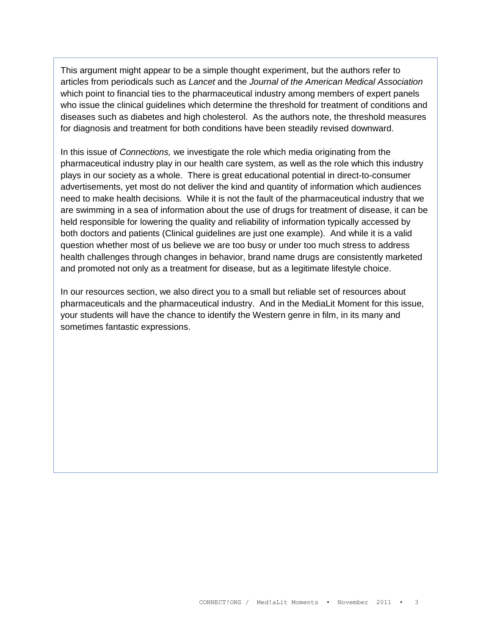This argument might appear to be a simple thought experiment, but the authors refer to articles from periodicals such as *Lancet* and the *Journal of the American Medical Association* which point to financial ties to the pharmaceutical industry among members of expert panels who issue the clinical guidelines which determine the threshold for treatment of conditions and diseases such as diabetes and high cholesterol. As the authors note, the threshold measures for diagnosis and treatment for both conditions have been steadily revised downward.

In this issue of *Connections,* we investigate the role which media originating from the pharmaceutical industry play in our health care system, as well as the role which this industry plays in our society as a whole. There is great educational potential in direct-to-consumer advertisements, yet most do not deliver the kind and quantity of information which audiences need to make health decisions. While it is not the fault of the pharmaceutical industry that we are swimming in a sea of information about the use of drugs for treatment of disease, it can be held responsible for lowering the quality and reliability of information typically accessed by both doctors and patients (Clinical guidelines are just one example). And while it is a valid question whether most of us believe we are too busy or under too much stress to address health challenges through changes in behavior, brand name drugs are consistently marketed and promoted not only as a treatment for disease, but as a legitimate lifestyle choice.

In our resources section, we also direct you to a small but reliable set of resources about pharmaceuticals and the pharmaceutical industry. And in the MediaLit Moment for this issue, your students will have the chance to identify the Western genre in film, in its many and sometimes fantastic expressions.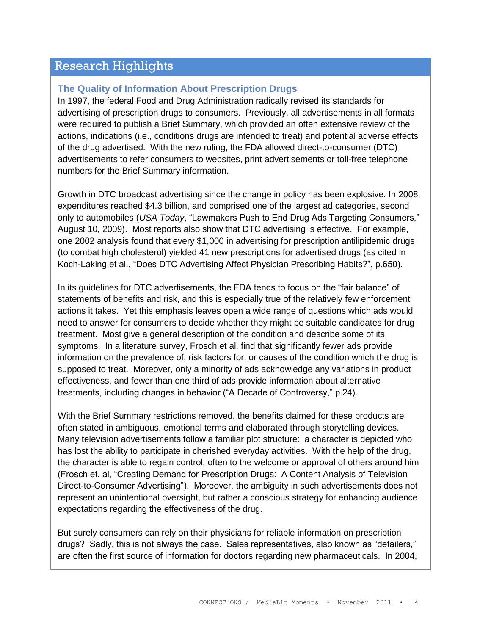# Research Highlights

## **The Quality of Information About Prescription Drugs**

In 1997, the federal Food and Drug Administration radically revised its standards for advertising of prescription drugs to consumers. Previously, all advertisements in all formats were required to publish a Brief Summary, which provided an often extensive review of the actions, indications (i.e., conditions drugs are intended to treat) and potential adverse effects of the drug advertised. With the new ruling, the FDA allowed direct-to-consumer (DTC) advertisements to refer consumers to websites, print advertisements or toll-free telephone numbers for the Brief Summary information.

Growth in DTC broadcast advertising since the change in policy has been explosive. In 2008, expenditures reached \$4.3 billion, and comprised one of the largest ad categories, second only to automobiles (*USA Today*, "Lawmakers Push to End Drug Ads Targeting Consumers," August 10, 2009). Most reports also show that DTC advertising is effective. For example, one 2002 analysis found that every \$1,000 in advertising for prescription antilipidemic drugs (to combat high cholesterol) yielded 41 new prescriptions for advertised drugs (as cited in Koch-Laking et al., "Does DTC Advertising Affect Physician Prescribing Habits?", p.650).

In its guidelines for DTC advertisements, the FDA tends to focus on the "fair balance" of statements of benefits and risk, and this is especially true of the relatively few enforcement actions it takes. Yet this emphasis leaves open a wide range of questions which ads would need to answer for consumers to decide whether they might be suitable candidates for drug treatment. Most give a general description of the condition and describe some of its symptoms. In a literature survey, Frosch et al. find that significantly fewer ads provide information on the prevalence of, risk factors for, or causes of the condition which the drug is supposed to treat. Moreover, only a minority of ads acknowledge any variations in product effectiveness, and fewer than one third of ads provide information about alternative treatments, including changes in behavior ("A Decade of Controversy," p.24).

With the Brief Summary restrictions removed, the benefits claimed for these products are often stated in ambiguous, emotional terms and elaborated through storytelling devices. Many television advertisements follow a familiar plot structure: a character is depicted who has lost the ability to participate in cherished everyday activities. With the help of the drug, the character is able to regain control, often to the welcome or approval of others around him (Frosch et. al, "Creating Demand for Prescription Drugs: A Content Analysis of Television Direct-to-Consumer Advertising"). Moreover, the ambiguity in such advertisements does not represent an unintentional oversight, but rather a conscious strategy for enhancing audience expectations regarding the effectiveness of the drug.

But surely consumers can rely on their physicians for reliable information on prescription drugs? Sadly, this is not always the case. Sales representatives, also known as "detailers," are often the first source of information for doctors regarding new pharmaceuticals. In 2004,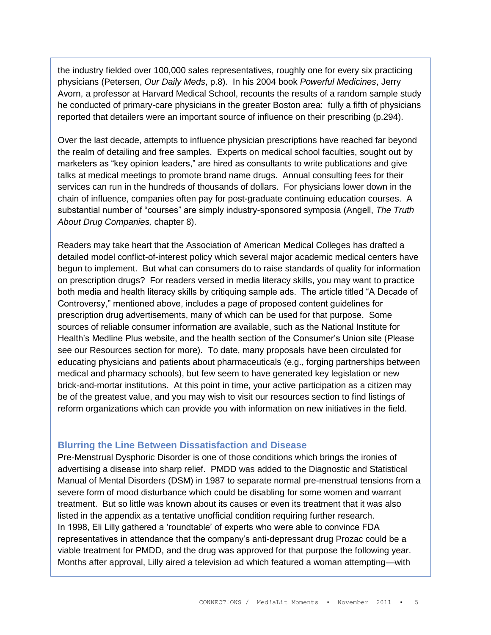the industry fielded over 100,000 sales representatives, roughly one for every six practicing physicians (Petersen, *Our Daily Meds*, p.8). In his 2004 book *Powerful Medicines*, Jerry Avorn, a professor at Harvard Medical School, recounts the results of a random sample study he conducted of primary-care physicians in the greater Boston area: fully a fifth of physicians reported that detailers were an important source of influence on their prescribing (p.294).

Over the last decade, attempts to influence physician prescriptions have reached far beyond the realm of detailing and free samples. Experts on medical school faculties, sought out by marketers as "key opinion leaders," are hired as consultants to write publications and give talks at medical meetings to promote brand name drugs. Annual consulting fees for their services can run in the hundreds of thousands of dollars. For physicians lower down in the chain of influence, companies often pay for post-graduate continuing education courses. A substantial number of "courses" are simply industry-sponsored symposia (Angell, *The Truth About Drug Companies,* chapter 8).

Readers may take heart that the Association of American Medical Colleges has drafted a detailed model conflict-of-interest policy which several major academic medical centers have begun to implement. But what can consumers do to raise standards of quality for information on prescription drugs? For readers versed in media literacy skills, you may want to practice both media and health literacy skills by critiquing sample ads. The article titled "A Decade of Controversy," mentioned above, includes a page of proposed content guidelines for prescription drug advertisements, many of which can be used for that purpose. Some sources of reliable consumer information are available, such as the National Institute for Health"s Medline Plus website, and the health section of the Consumer"s Union site (Please see our Resources section for more). To date, many proposals have been circulated for educating physicians and patients about pharmaceuticals (e.g., forging partnerships between medical and pharmacy schools), but few seem to have generated key legislation or new brick-and-mortar institutions. At this point in time, your active participation as a citizen may be of the greatest value, and you may wish to visit our resources section to find listings of reform organizations which can provide you with information on new initiatives in the field.

## **Blurring the Line Between Dissatisfaction and Disease**

Pre-Menstrual Dysphoric Disorder is one of those conditions which brings the ironies of advertising a disease into sharp relief. PMDD was added to the Diagnostic and Statistical Manual of Mental Disorders (DSM) in 1987 to separate normal pre-menstrual tensions from a severe form of mood disturbance which could be disabling for some women and warrant treatment. But so little was known about its causes or even its treatment that it was also listed in the appendix as a tentative unofficial condition requiring further research. In 1998, Eli Lilly gathered a "roundtable" of experts who were able to convince FDA representatives in attendance that the company"s anti-depressant drug Prozac could be a viable treatment for PMDD, and the drug was approved for that purpose the following year. Months after approval, Lilly aired a television ad which featured a woman attempting—with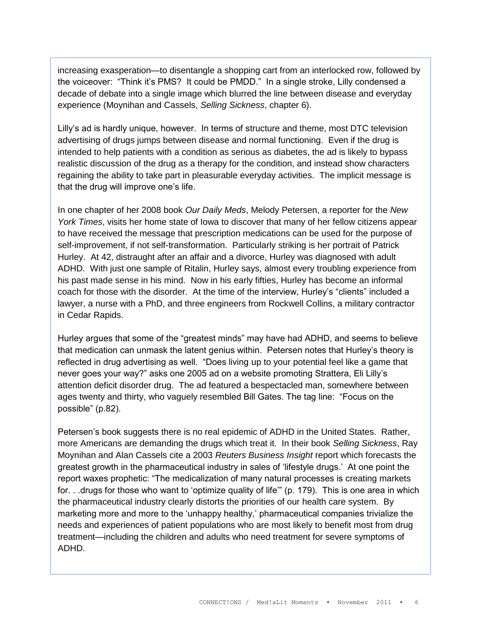increasing exasperation—to disentangle a shopping cart from an interlocked row, followed by the voiceover: "Think it"s PMS? It could be PMDD." In a single stroke, Lilly condensed a decade of debate into a single image which blurred the line between disease and everyday experience (Moynihan and Cassels, *Selling Sickness*, chapter 6).

Lilly"s ad is hardly unique, however. In terms of structure and theme, most DTC television advertising of drugs jumps between disease and normal functioning. Even if the drug is intended to help patients with a condition as serious as diabetes, the ad is likely to bypass realistic discussion of the drug as a therapy for the condition, and instead show characters regaining the ability to take part in pleasurable everyday activities. The implicit message is that the drug will improve one"s life.

In one chapter of her 2008 book *Our Daily Meds*, Melody Petersen, a reporter for the *New York Times*, visits her home state of Iowa to discover that many of her fellow citizens appear to have received the message that prescription medications can be used for the purpose of self-improvement, if not self-transformation. Particularly striking is her portrait of Patrick Hurley. At 42, distraught after an affair and a divorce, Hurley was diagnosed with adult ADHD. With just one sample of Ritalin, Hurley says, almost every troubling experience from his past made sense in his mind. Now in his early fifties, Hurley has become an informal coach for those with the disorder. At the time of the interview, Hurley"s "clients" included a lawyer, a nurse with a PhD, and three engineers from Rockwell Collins, a military contractor in Cedar Rapids.

Hurley argues that some of the "greatest minds" may have had ADHD, and seems to believe that medication can unmask the latent genius within. Petersen notes that Hurley"s theory is reflected in drug advertising as well. "Does living up to your potential feel like a game that never goes your way?" asks one 2005 ad on a website promoting Strattera, Eli Lilly"s attention deficit disorder drug. The ad featured a bespectacled man, somewhere between ages twenty and thirty, who vaguely resembled Bill Gates. The tag line: "Focus on the possible" (p.82).

Petersen's book suggests there is no real epidemic of ADHD in the United States. Rather, more Americans are demanding the drugs which treat it. In their book *Selling Sickness*, Ray Moynihan and Alan Cassels cite a 2003 *Reuters Business Insight* report which forecasts the greatest growth in the pharmaceutical industry in sales of "lifestyle drugs." At one point the report waxes prophetic: "The medicalization of many natural processes is creating markets for. . .drugs for those who want to "optimize quality of life"" (p. 179). This is one area in which the pharmaceutical industry clearly distorts the priorities of our health care system. By marketing more and more to the "unhappy healthy," pharmaceutical companies trivialize the needs and experiences of patient populations who are most likely to benefit most from drug treatment—including the children and adults who need treatment for severe symptoms of ADHD.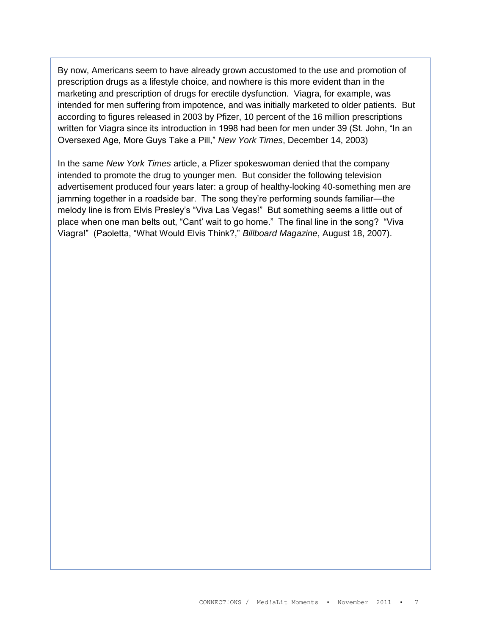By now, Americans seem to have already grown accustomed to the use and promotion of prescription drugs as a lifestyle choice, and nowhere is this more evident than in the marketing and prescription of drugs for erectile dysfunction. Viagra, for example, was intended for men suffering from impotence, and was initially marketed to older patients. But according to figures released in 2003 by Pfizer, 10 percent of the 16 million prescriptions written for Viagra since its introduction in 1998 had been for men under 39 (St. John, "In an Oversexed Age, More Guys Take a Pill," *New York Times*, December 14, 2003)

In the same *New York Times* article, a Pfizer spokeswoman denied that the company intended to promote the drug to younger men. But consider the following television advertisement produced four years later: a group of healthy-looking 40-something men are jamming together in a roadside bar. The song they"re performing sounds familiar—the melody line is from Elvis Presley's "Viva Las Vegas!" But something seems a little out of place when one man belts out, "Cant" wait to go home." The final line in the song? "Viva Viagra!" (Paoletta, "What Would Elvis Think?," *Billboard Magazine*, August 18, 2007).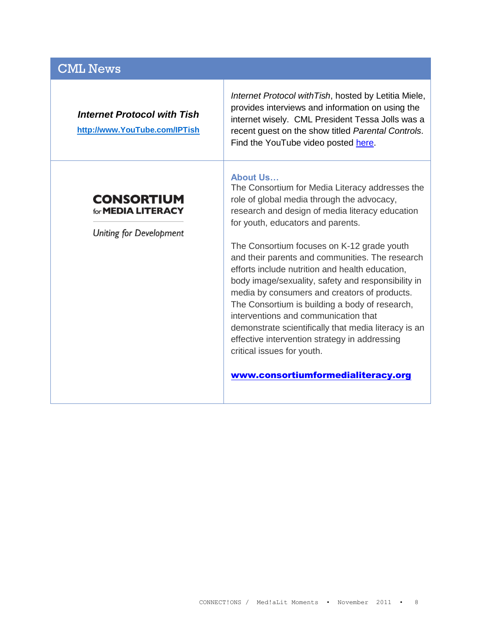# CML News

| <b>Internet Protocol with Tish</b> |  |  |
|------------------------------------|--|--|
|------------------------------------|--|--|

**[http://www.YouTube.com/IPTish](http://www.youtube.com/IPTish)**

**CONSORTIUM** for **MEDIA LITERACY** 

**Uniting for Development** 

*Internet Protocol withTish*, hosted by Letitia Miele, provides interviews and information on using the internet wisely. CML President Tessa Jolls was a recent guest on the show titled *Parental Controls*. Find the YouTube video posted [here.](http://www.youtube.com/IPTish)

#### **About Us…**

The Consortium for Media Literacy addresses the role of global media through the advocacy, research and design of media literacy education for youth, educators and parents.

The Consortium focuses on K-12 grade youth and their parents and communities. The research efforts include nutrition and health education, body image/sexuality, safety and responsibility in media by consumers and creators of products. The Consortium is building a body of research, interventions and communication that demonstrate scientifically that media literacy is an effective intervention strategy in addressing critical issues for youth.

[www.consortiumformedialiteracy.org](http://www.consortiumformedialiteracy.org/)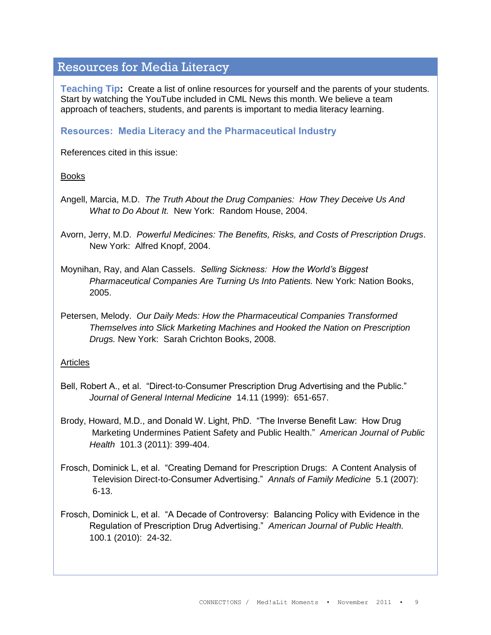# Resources for Media Literacy

**Teaching Tip:** Create a list of online resources for yourself and the parents of your students. Start by watching the YouTube included in CML News this month. We believe a team approach of teachers, students, and parents is important to media literacy learning.

## **Resources: Media Literacy and the Pharmaceutical Industry**

References cited in this issue:

## Books

Angell, Marcia, M.D. *The Truth About the Drug Companies: How They Deceive Us And What to Do About It.* New York: Random House, 2004.

Avorn, Jerry, M.D. *Powerful Medicines: The Benefits, Risks, and Costs of Prescription Drugs*. New York: Alfred Knopf, 2004.

Moynihan, Ray, and Alan Cassels. *Selling Sickness: How the World's Biggest Pharmaceutical Companies Are Turning Us Into Patients.* New York: Nation Books, 2005.

Petersen, Melody. *Our Daily Meds: How the Pharmaceutical Companies Transformed Themselves into Slick Marketing Machines and Hooked the Nation on Prescription Drugs.* New York: Sarah Crichton Books, 2008.

#### Articles

- Bell, Robert A., et al. "Direct-to-Consumer Prescription Drug Advertising and the Public." *Journal of General Internal Medicine* 14.11 (1999): 651-657.
- Brody, Howard, M.D., and Donald W. Light, PhD. "The Inverse Benefit Law: How Drug Marketing Undermines Patient Safety and Public Health." *American Journal of Public Health* 101.3 (2011): 399-404.
- Frosch, Dominick L, et al. "Creating Demand for Prescription Drugs: A Content Analysis of Television Direct-to-Consumer Advertising." *Annals of Family Medicine* 5.1 (2007): 6-13.
- Frosch, Dominick L, et al. "A Decade of Controversy: Balancing Policy with Evidence in the Regulation of Prescription Drug Advertising." *American Journal of Public Health.*  100.1 (2010): 24-32.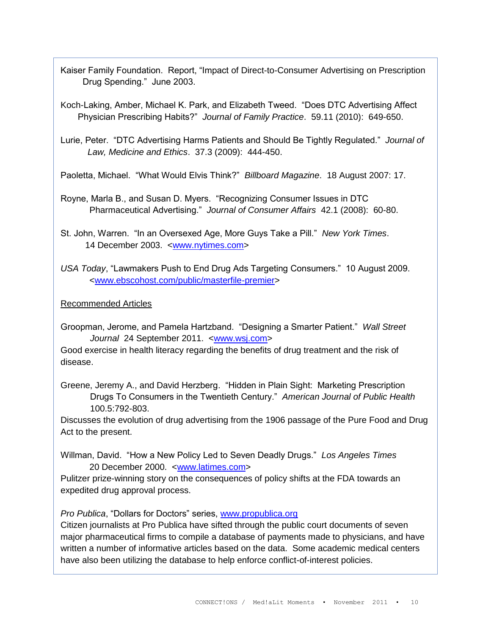Kaiser Family Foundation. Report, "Impact of Direct-to-Consumer Advertising on Prescription Drug Spending." June 2003.

Koch-Laking, Amber, Michael K. Park, and Elizabeth Tweed. "Does DTC Advertising Affect Physician Prescribing Habits?" *Journal of Family Practice*. 59.11 (2010): 649-650.

Lurie, Peter. "DTC Advertising Harms Patients and Should Be Tightly Regulated." *Journal of Law, Medicine and Ethics*. 37.3 (2009): 444-450.

Paoletta, Michael. "What Would Elvis Think?" *Billboard Magazine*. 18 August 2007: 17.

Royne, Marla B., and Susan D. Myers. "Recognizing Consumer Issues in DTC Pharmaceutical Advertising." *Journal of Consumer Affairs* 42.1 (2008): 60-80.

St. John, Warren. "In an Oversexed Age, More Guys Take a Pill." *New York Times*. 14 December 2003. [<www.nytimes.com>](http://www.nytimes.com/)

*USA Today*, "Lawmakers Push to End Drug Ads Targeting Consumers." 10 August 2009. [<www.ebscohost.com/public/masterfile-premier>](http://www.ebscohost.com/public/masterfile-premier)

## Recommended Articles

Groopman, Jerome, and Pamela Hartzband. "Designing a Smarter Patient." *Wall Street Journal* 24 September 2011. [<www.wsj.com>](http://www.wsj.com/)

Good exercise in health literacy regarding the benefits of drug treatment and the risk of disease.

Greene, Jeremy A., and David Herzberg. "Hidden in Plain Sight: Marketing Prescription Drugs To Consumers in the Twentieth Century." *American Journal of Public Health* 100.5:792-803.

Discusses the evolution of drug advertising from the 1906 passage of the Pure Food and Drug Act to the present.

Willman, David. "How a New Policy Led to Seven Deadly Drugs." *Los Angeles Times* 20 December 2000. [<www.latimes.com>](http://www.latimes.com/)

Pulitzer prize-winning story on the consequences of policy shifts at the FDA towards an expedited drug approval process.

*Pro Publica*, "Dollars for Doctors" series, [www.propublica.org](http://www.propublica.org/)

Citizen journalists at Pro Publica have sifted through the public court documents of seven major pharmaceutical firms to compile a database of payments made to physicians, and have written a number of informative articles based on the data. Some academic medical centers have also been utilizing the database to help enforce conflict-of-interest policies.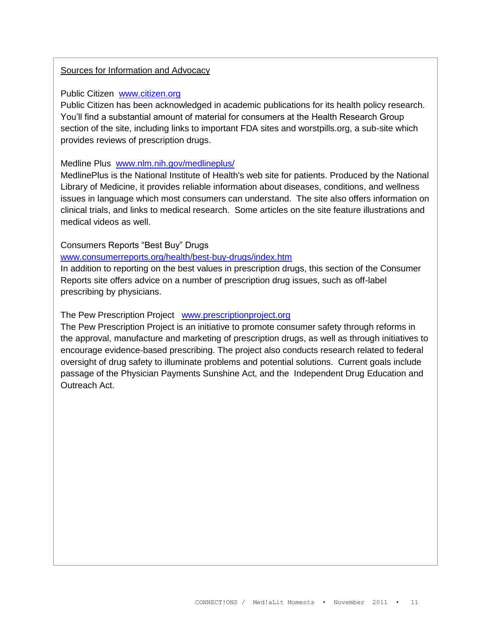### Sources for Information and Advocacy

#### Public Citizen [www.citizen.org](http://www.citizen.org/)

Public Citizen has been acknowledged in academic publications for its health policy research. You"ll find a substantial amount of material for consumers at the Health Research Group section of the site, including links to important FDA sites and worstpills.org, a sub-site which provides reviews of prescription drugs.

#### Medline Plus [www.nlm.nih.gov/medlineplus/](http://www.nlm.nih.gov/medlineplus/)

MedlinePlus is the National Institute of Health's web site for patients. Produced by the National Library of Medicine, it provides reliable information about diseases, conditions, and wellness issues in language which most consumers can understand. The site also offers information on clinical trials, and links to medical research. Some articles on the site feature illustrations and medical videos as well.

#### Consumers Reports "Best Buy" Drugs

#### [www.consumerreports.org/health/best-buy-drugs/index.htm](http://www.consumerreports.org/health/best-buy-drugs/index.htm)

In addition to reporting on the best values in prescription drugs, this section of the Consumer Reports site offers advice on a number of prescription drug issues, such as off-label prescribing by physicians.

#### The Pew Prescription Project [www.prescriptionproject.org](http://www.prescriptionproject.org/)

The Pew Prescription Project is an initiative to promote consumer safety through reforms in the approval, manufacture and marketing of prescription drugs, as well as through initiatives to encourage evidence-based prescribing. The project also conducts research related to federal oversight of drug safety to illuminate problems and potential solutions. Current goals include passage of the Physician Payments Sunshine Act, and the Independent Drug Education and Outreach Act.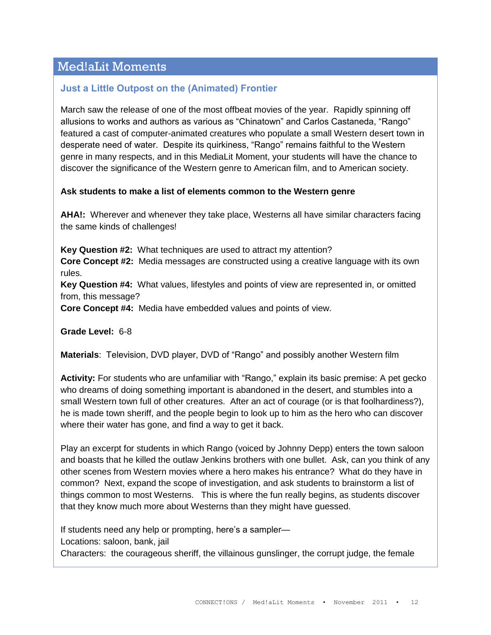# Med!aLit Moments

# **Just a Little Outpost on the (Animated) Frontier**

March saw the release of one of the most offbeat movies of the year. Rapidly spinning off allusions to works and authors as various as "Chinatown" and Carlos Castaneda, "Rango" featured a cast of computer-animated creatures who populate a small Western desert town in desperate need of water. Despite its quirkiness, "Rango" remains faithful to the Western genre in many respects, and in this MediaLit Moment, your students will have the chance to discover the significance of the Western genre to American film, and to American society.

## **Ask students to make a list of elements common to the Western genre**

**AHA!:** Wherever and whenever they take place, Westerns all have similar characters facing the same kinds of challenges!

**Key Question #2:** What techniques are used to attract my attention? **Core Concept #2:** Media messages are constructed using a creative language with its own rules.

**Key Question #4:** What values, lifestyles and points of view are represented in, or omitted from, this message?

**Core Concept #4:** Media have embedded values and points of view.

**Grade Level:** 6-8

**Materials**: Television, DVD player, DVD of "Rango" and possibly another Western film

**Activity:** For students who are unfamiliar with "Rango," explain its basic premise: A pet gecko who dreams of doing something important is abandoned in the desert, and stumbles into a small Western town full of other creatures. After an act of courage (or is that foolhardiness?), he is made town sheriff, and the people begin to look up to him as the hero who can discover where their water has gone, and find a way to get it back.

Play an excerpt for students in which Rango (voiced by Johnny Depp) enters the town saloon and boasts that he killed the outlaw Jenkins brothers with one bullet. Ask, can you think of any other scenes from Western movies where a hero makes his entrance? What do they have in common? Next, expand the scope of investigation, and ask students to brainstorm a list of things common to most Westerns. This is where the fun really begins, as students discover that they know much more about Westerns than they might have guessed.

If students need any help or prompting, here's a sampler— Locations: saloon, bank, jail

Characters: the courageous sheriff, the villainous gunslinger, the corrupt judge, the female